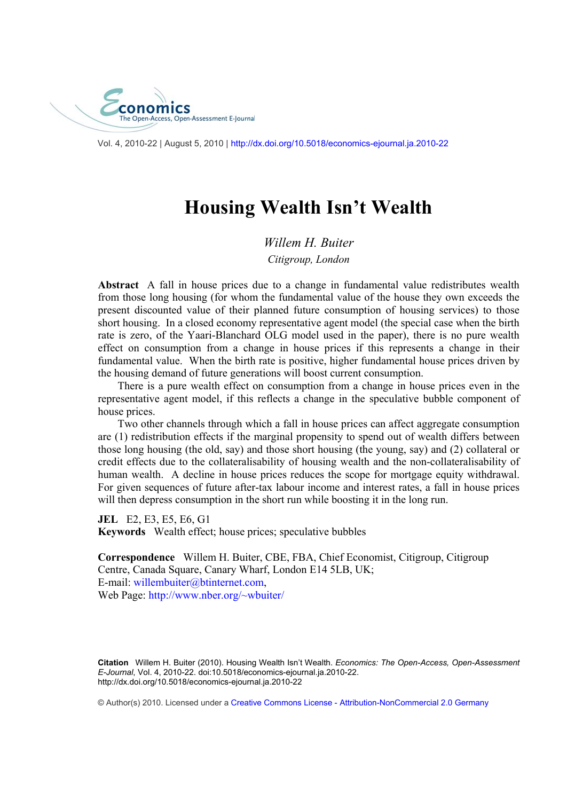

Vol. 4, 2010-22 | August 5, 2010 | <http://dx.doi.org/10.5018/economics-ejournal.ja.2010-22>

# **Housing Wealth Isn't Wealth**

#### *Willem H. Buiter Citigroup, London*

**Abstract** A fall in house prices due to a change in fundamental value redistributes wealth from those long housing (for whom the fundamental value of the house they own exceeds the present discounted value of their planned future consumption of housing services) to those short housing. In a closed economy representative agent model (the special case when the birth rate is zero, of the Yaari-Blanchard OLG model used in the paper), there is no pure wealth effect on consumption from a change in house prices if this represents a change in their fundamental value. When the birth rate is positive, higher fundamental house prices driven by the housing demand of future generations will boost current consumption.

There is a pure wealth effect on consumption from a change in house prices even in the representative agent model, if this reflects a change in the speculative bubble component of house prices.

Two other channels through which a fall in house prices can affect aggregate consumption are (1) redistribution effects if the marginal propensity to spend out of wealth differs between those long housing (the old, say) and those short housing (the young, say) and (2) collateral or credit effects due to the collateralisability of housing wealth and the non-collateralisability of human wealth. A decline in house prices reduces the scope for mortgage equity withdrawal. For given sequences of future after-tax labour income and interest rates, a fall in house prices will then depress consumption in the short run while boosting it in the long run.

**JEL** E2, E3, E5, E6, G1 **Keywords** Wealth effect; house prices; speculative bubbles

**Correspondence** Willem H. Buiter, CBE, FBA, Chief Economist, Citigroup, Citigroup Centre, Canada Square, Canary Wharf, London E14 5LB, UK; E-mail: [willembuiter@btinternet.com,](mailto:willembuiter@btinternet.com) Web Page: [http://www.nber.org/~wbuiter/](http://www.nber.org/%7Ewbuiter/)

**Citation** Willem H. Buiter (2010). Housing Wealth Isn't Wealth. *Economics: The Open-Access, Open-Assessment E-Journal*, Vol. 4, 2010-22. doi:10.5018/economics-ejournal.ja.2010-22. http://dx.doi.org/10.5018/economics-ejournal.ja.2010-22

© Author(s) 2010. Licensed under a [Creative Commons License - Attribution-NonCommercial 2.0 Germany](http://creativecommons.org/licenses/by-nc/2.0/de/deed.en)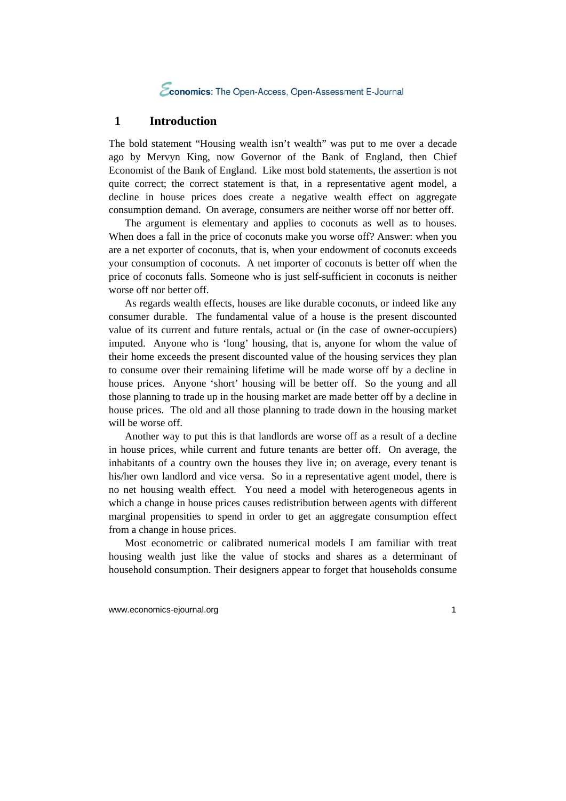#### **1 Introduction**

The bold statement "Housing wealth isn't wealth" was put to me over a decade ago by Mervyn King, now Governor of the Bank of England, then Chief Economist of the Bank of England. Like most bold statements, the assertion is not quite correct; the correct statement is that, in a representative agent model, a decline in house prices does create a negative wealth effect on aggregate consumption demand. On average, consumers are neither worse off nor better off.

The argument is elementary and applies to coconuts as well as to houses. When does a fall in the price of coconuts make you worse off? Answer: when you are a net exporter of coconuts, that is, when your endowment of coconuts exceeds your consumption of coconuts. A net importer of coconuts is better off when the price of coconuts falls. Someone who is just self-sufficient in coconuts is neither worse off nor better off.

As regards wealth effects, houses are like durable coconuts, or indeed like any consumer durable. The fundamental value of a house is the present discounted value of its current and future rentals, actual or (in the case of owner-occupiers) imputed. Anyone who is 'long' housing, that is, anyone for whom the value of their home exceeds the present discounted value of the housing services they plan to consume over their remaining lifetime will be made worse off by a decline in house prices. Anyone 'short' housing will be better off. So the young and all those planning to trade up in the housing market are made better off by a decline in house prices. The old and all those planning to trade down in the housing market will be worse off.

Another way to put this is that landlords are worse off as a result of a decline in house prices, while current and future tenants are better off. On average, the inhabitants of a country own the houses they live in; on average, every tenant is his/her own landlord and vice versa. So in a representative agent model, there is no net housing wealth effect. You need a model with heterogeneous agents in which a change in house prices causes redistribution between agents with different marginal propensities to spend in order to get an aggregate consumption effect from a change in house prices.

Most econometric or calibrated numerical models I am familiar with treat housing wealth just like the value of stocks and shares as a determinant of household consumption. Their designers appear to forget that households consume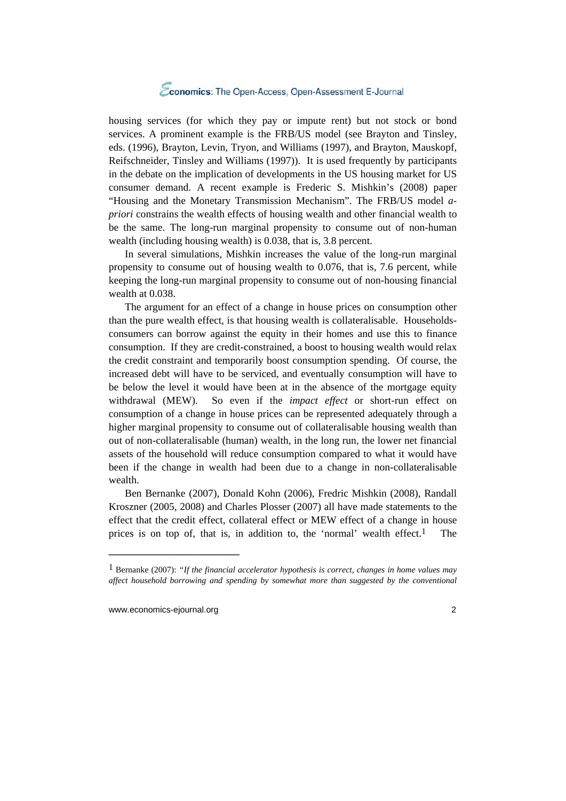housing services (for which they pay or impute rent) but not stock or bond services. A prominent example is the FRB/US model (see Brayton and Tinsley, eds. (1996), Brayton, Levin, Tryon, and Williams (1997), and Brayton, Mauskopf, Reifschneider, Tinsley and Williams (1997)). It is used frequently by participants in the debate on the implication of developments in the US housing market for US consumer demand. A recent example is Frederic S. Mishkin's (2008) paper "Housing and the Monetary Transmission Mechanism". The FRB/US model *apriori* constrains the wealth effects of housing wealth and other financial wealth to be the same. The long-run marginal propensity to consume out of non-human wealth (including housing wealth) is 0.038, that is, 3.8 percent.

In several simulations, Mishkin increases the value of the long-run marginal propensity to consume out of housing wealth to 0.076, that is, 7.6 percent, while keeping the long-run marginal propensity to consume out of non-housing financial wealth at 0.038.

The argument for an effect of a change in house prices on consumption other than the pure wealth effect, is that housing wealth is collateralisable. Householdsconsumers can borrow against the equity in their homes and use this to finance consumption. If they are credit-constrained, a boost to housing wealth would relax the credit constraint and temporarily boost consumption spending. Of course, the increased debt will have to be serviced, and eventually consumption will have to be below the level it would have been at in the absence of the mortgage equity withdrawal (MEW). So even if the *impact effect* or short-run effect on consumption of a change in house prices can be represented adequately through a higher marginal propensity to consume out of collateralisable housing wealth than out of non-collateralisable (human) wealth, in the long run, the lower net financial assets of the household will reduce consumption compared to what it would have been if the change in wealth had been due to a change in non-collateralisable wealth.

Ben Bernanke (2007), Donald Kohn (2006), Fredric Mishkin (2008), Randall Kroszner (2005, 2008) and Charles Plosser (2007) all have made statements to the effect that the credit effect, collateral effect or MEW effect of a change in house prices is on top of, that is, in addition to, the 'normal' wealth effect.<sup>1</sup> The

www.economics-ejournal.org 2

**\_\_\_\_\_\_\_\_\_\_\_\_\_\_\_\_\_\_\_\_\_\_\_\_\_** 

<sup>1</sup> Bernanke (2007): *"If the financial accelerator hypothesis is correct, changes in home values may affect household borrowing and spending by somewhat more than suggested by the conventional*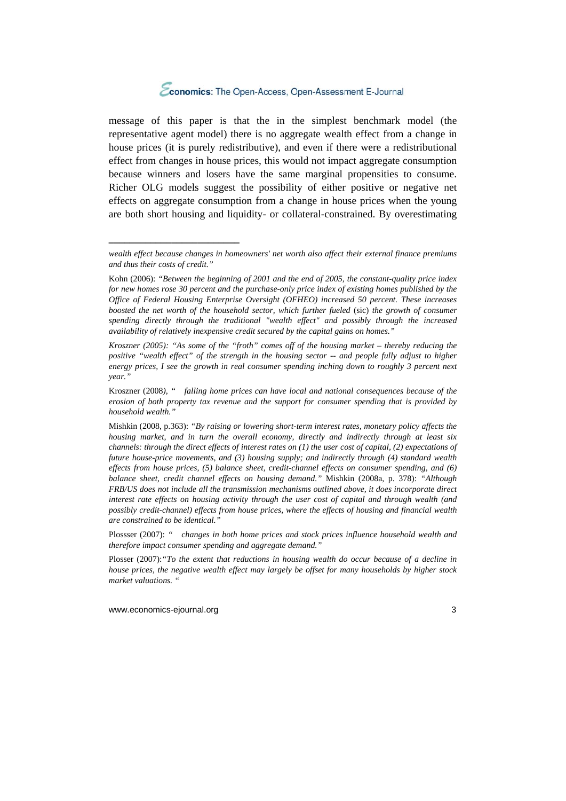message of this paper is that the in the simplest benchmark model (the representative agent model) there is no aggregate wealth effect from a change in house prices (it is purely redistributive), and even if there were a redistributional effect from changes in house prices, this would not impact aggregate consumption because winners and losers have the same marginal propensities to consume. Richer OLG models suggest the possibility of either positive or negative net effects on aggregate consumption from a change in house prices when the young are both short housing and liquidity- or collateral-constrained. By overestimating

www.economics-ejournal.org 3

**\_\_\_\_\_\_\_\_\_\_\_\_\_\_\_\_\_\_\_\_\_\_\_\_\_** 

*wealth effect because changes in homeowners' net worth also affect their external finance premiums and thus their costs of credit."* 

Kohn (2006): *"Between the beginning of 2001 and the end of 2005, the constant-quality price index for new homes rose 30 percent and the purchase-only price index of existing homes published by the Office of Federal Housing Enterprise Oversight (OFHEO) increased 50 percent. These increases boosted the net worth of the household sector, which further fueled* (sic) *the growth of consumer spending directly through the traditional "wealth effect" and possibly through the increased availability of relatively inexpensive credit secured by the capital gains on homes."* 

*Kroszner (2005):* "*As some of the "froth" comes off of the housing market – thereby reducing the positive "wealth effect" of the strength in the housing sector -- and people fully adjust to higher energy prices, I see the growth in real consumer spending inching down to roughly 3 percent next year."*

Kroszner (2008*), " falling home prices can have local and national consequences because of the erosion of both property tax revenue and the support for consumer spending that is provided by household wealth."*

Mishkin (2008, p.363): *"By raising or lowering short-term interest rates, monetary policy affects the housing market, and in turn the overall economy, directly and indirectly through at least six channels: through the direct effects of interest rates on (1) the user cost of capital, (2) expectations of future house-price movements, and (3) housing supply; and indirectly through (4) standard wealth effects from house prices, (5) balance sheet, credit-channel effects on consumer spending, and (6) balance sheet, credit channel effects on housing demand."* Mishkin (2008a, p. 378): *"Although FRB/US does not include all the transmission mechanisms outlined above, it does incorporate direct interest rate effects on housing activity through the user cost of capital and through wealth (and possibly credit-channel) effects from house prices, where the effects of housing and financial wealth are constrained to be identical."* 

Plossser (2007): *" changes in both home prices and stock prices influence household wealth and therefore impact consumer spending and aggregate demand."*

Plosser (2007):*"To the extent that reductions in housing wealth do occur because of a decline in house prices, the negative wealth effect may largely be offset for many households by higher stock market valuations. "*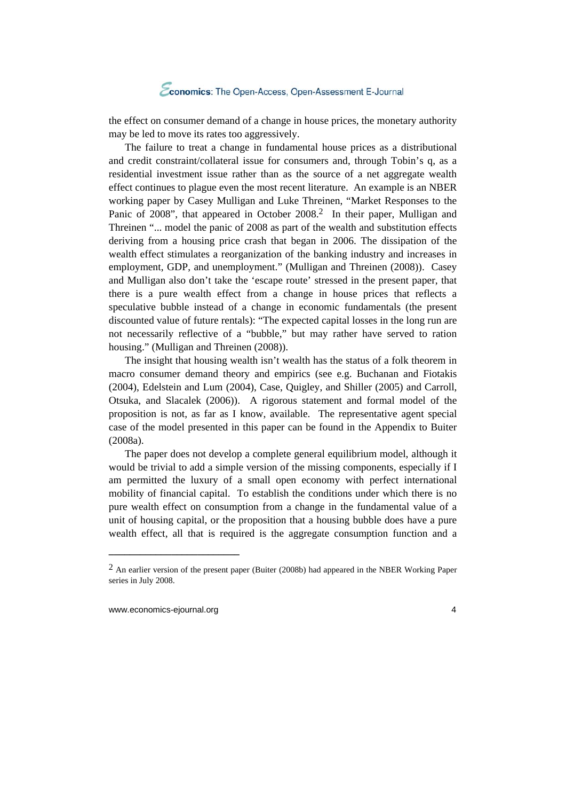the effect on consumer demand of a change in house prices, the monetary authority may be led to move its rates too aggressively.

The failure to treat a change in fundamental house prices as a distributional and credit constraint/collateral issue for consumers and, through Tobin's q, as a residential investment issue rather than as the source of a net aggregate wealth effect continues to plague even the most recent literature. An example is an NBER working paper by Casey Mulligan and Luke Threinen, "Market Responses to the Panic of 2008", that appeared in October 2008.<sup>2</sup> In their paper, Mulligan and Threinen "... model the panic of 2008 as part of the wealth and substitution effects deriving from a housing price crash that began in 2006. The dissipation of the wealth effect stimulates a reorganization of the banking industry and increases in employment, GDP, and unemployment." (Mulligan and Threinen (2008)). Casey and Mulligan also don't take the 'escape route' stressed in the present paper, that there is a pure wealth effect from a change in house prices that reflects a speculative bubble instead of a change in economic fundamentals (the present discounted value of future rentals): "The expected capital losses in the long run are not necessarily reflective of a "bubble," but may rather have served to ration housing." (Mulligan and Threinen (2008)).

The insight that housing wealth isn't wealth has the status of a folk theorem in macro consumer demand theory and empirics (see e.g. Buchanan and Fiotakis (2004), Edelstein and Lum (2004), Case, Quigley, and Shiller (2005) and Carroll, Otsuka, and Slacalek (2006)). A rigorous statement and formal model of the proposition is not, as far as I know, available. The representative agent special case of the model presented in this paper can be found in the Appendix to Buiter (2008a).

The paper does not develop a complete general equilibrium model, although it would be trivial to add a simple version of the missing components, especially if I am permitted the luxury of a small open economy with perfect international mobility of financial capital. To establish the conditions under which there is no pure wealth effect on consumption from a change in the fundamental value of a unit of housing capital, or the proposition that a housing bubble does have a pure wealth effect, all that is required is the aggregate consumption function and a

**\_\_\_\_\_\_\_\_\_\_\_\_\_\_\_\_\_\_\_\_\_\_\_\_\_** 

<sup>2</sup> An earlier version of the present paper (Buiter (2008b) had appeared in the NBER Working Paper series in July 2008.

www.economics-ejournal.org 4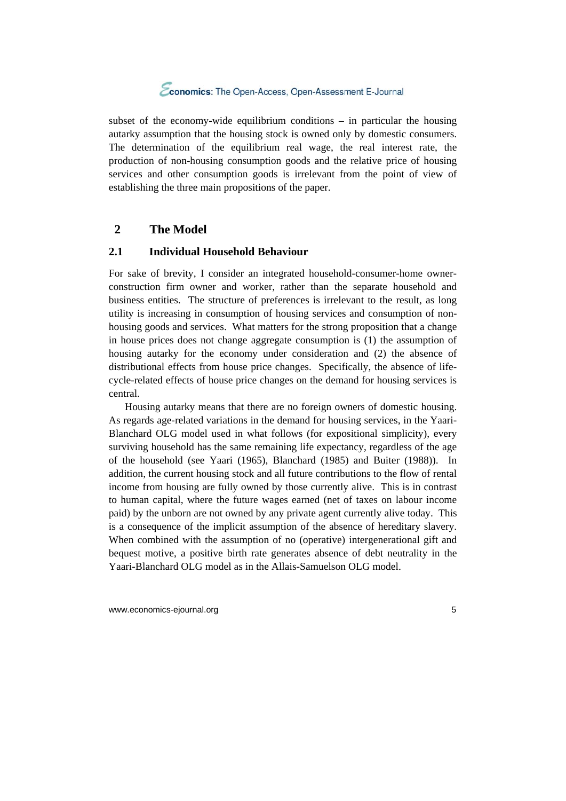subset of the economy-wide equilibrium conditions – in particular the housing autarky assumption that the housing stock is owned only by domestic consumers. The determination of the equilibrium real wage, the real interest rate, the production of non-housing consumption goods and the relative price of housing services and other consumption goods is irrelevant from the point of view of establishing the three main propositions of the paper.

## **2 The Model**

#### **2.1 Individual Household Behaviour**

For sake of brevity, I consider an integrated household-consumer-home ownerconstruction firm owner and worker, rather than the separate household and business entities. The structure of preferences is irrelevant to the result, as long utility is increasing in consumption of housing services and consumption of nonhousing goods and services. What matters for the strong proposition that a change in house prices does not change aggregate consumption is (1) the assumption of housing autarky for the economy under consideration and (2) the absence of distributional effects from house price changes. Specifically, the absence of lifecycle-related effects of house price changes on the demand for housing services is central.

Housing autarky means that there are no foreign owners of domestic housing. As regards age-related variations in the demand for housing services, in the Yaari-Blanchard OLG model used in what follows (for expositional simplicity), every surviving household has the same remaining life expectancy, regardless of the age of the household (see Yaari (1965), Blanchard (1985) and Buiter (1988)). In addition, the current housing stock and all future contributions to the flow of rental income from housing are fully owned by those currently alive. This is in contrast to human capital, where the future wages earned (net of taxes on labour income paid) by the unborn are not owned by any private agent currently alive today. This is a consequence of the implicit assumption of the absence of hereditary slavery. When combined with the assumption of no (operative) intergenerational gift and bequest motive, a positive birth rate generates absence of debt neutrality in the Yaari-Blanchard OLG model as in the Allais-Samuelson OLG model.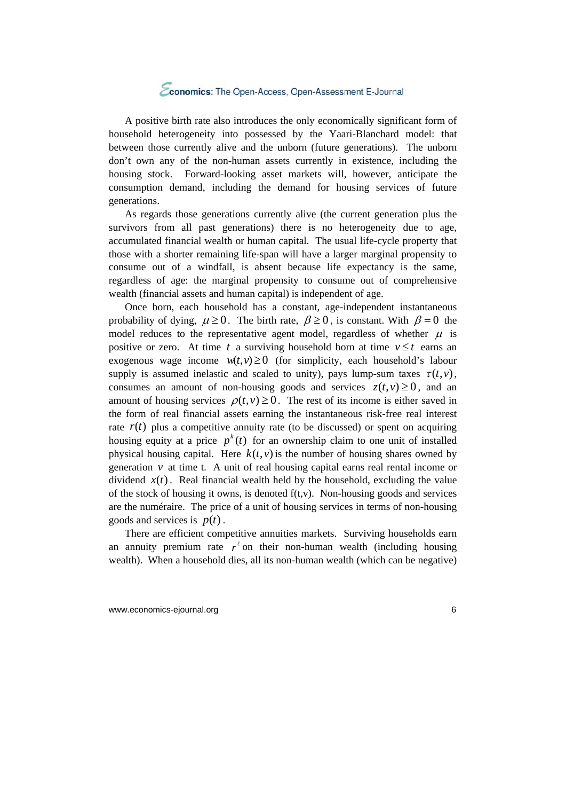A positive birth rate also introduces the only economically significant form of household heterogeneity into possessed by the Yaari-Blanchard model: that between those currently alive and the unborn (future generations). The unborn don't own any of the non-human assets currently in existence, including the housing stock. Forward-looking asset markets will, however, anticipate the consumption demand, including the demand for housing services of future generations.

As regards those generations currently alive (the current generation plus the survivors from all past generations) there is no heterogeneity due to age, accumulated financial wealth or human capital. The usual life-cycle property that those with a shorter remaining life-span will have a larger marginal propensity to consume out of a windfall, is absent because life expectancy is the same, regardless of age: the marginal propensity to consume out of comprehensive wealth (financial assets and human capital) is independent of age.

Once born, each household has a constant, age-independent instantaneous probability of dying,  $\mu \ge 0$ . The birth rate,  $\beta \ge 0$ , is constant. With  $\beta = 0$  the model reduces to the representative agent model, regardless of whether  $\mu$  is positive or zero. At time t a surviving household born at time  $v \leq t$  earns an exogenous wage income  $w(t, v) \ge 0$  (for simplicity, each household's labour supply is assumed inelastic and scaled to unity), pays lump-sum taxes  $\tau(t, v)$ , consumes an amount of non-housing goods and services  $z(t, y) \ge 0$ , and an amount of housing services  $\rho(t, v) \ge 0$ . The rest of its income is either saved in the form of real financial assets earning the instantaneous risk-free real interest rate  $r(t)$  plus a competitive annuity rate (to be discussed) or spent on acquiring housing equity at a price  $p^k(t)$  for an ownership claim to one unit of installed physical housing capital. Here  $k(t, y)$  is the number of housing shares owned by generation  $\nu$  at time t. A unit of real housing capital earns real rental income or dividend  $x(t)$ . Real financial wealth held by the household, excluding the value of the stock of housing it owns, is denoted  $f(t, v)$ . Non-housing goods and services are the numéraire. The price of a unit of housing services in terms of non-housing goods and services is  $p(t)$ .

There are efficient competitive annuities markets. Surviving households earn an annuity premium rate  $r^{\ell}$  on their non-human wealth (including housing wealth). When a household dies, all its non-human wealth (which can be negative)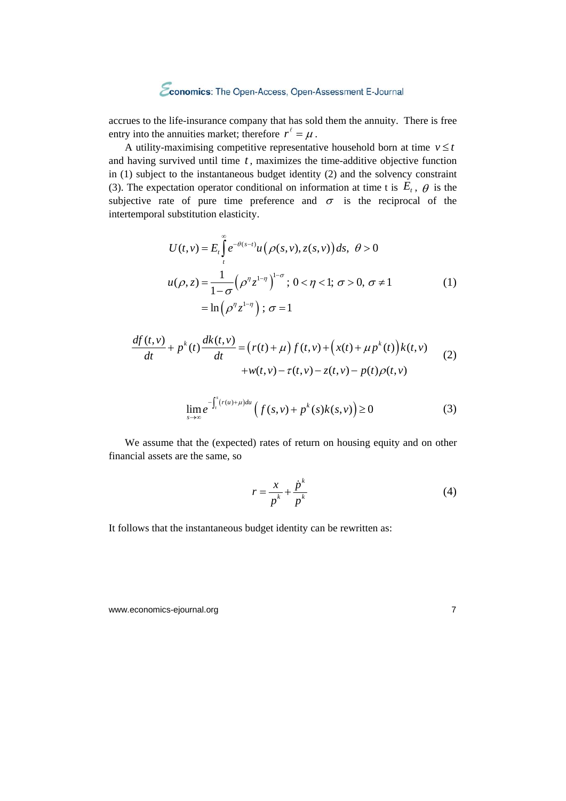accrues to the life-insurance company that has sold them the annuity. There is free entry into the annuities market; therefore  $r^{\ell} = \mu$ .

A utility-maximising competitive representative household born at time  $v \leq t$ and having survived until time *t* , maximizes the time-additive objective function in (1) subject to the instantaneous budget identity (2) and the solvency constraint (3). The expectation operator conditional on information at time t is  $E_t$ ,  $\theta$  is the subjective rate of pure time preference and  $\sigma$  is the reciprocal of the intertemporal substitution elasticity.

$$
U(t, v) = E_{t} \int_{t}^{\infty} e^{-\theta(s-t)} u(\rho(s, v), z(s, v)) ds, \ \theta > 0
$$
  

$$
u(\rho, z) = \frac{1}{1 - \sigma} (\rho^{\eta} z^{1 - \eta})^{1 - \sigma}; \ 0 < \eta < 1; \ \sigma > 0, \ \sigma \neq 1
$$
  

$$
= \ln (\rho^{\eta} z^{1 - \eta}); \ \sigma = 1
$$
 (1)

$$
\frac{df(t,v)}{dt} + p^{k}(t)\frac{dk(t,v)}{dt} = (r(t) + \mu) f(t,v) + (x(t) + \mu p^{k}(t))k(t,v) \n+ w(t,v) - \tau(t,v) - z(t,v) - p(t)\rho(t,v)
$$
\n(2)

$$
\lim_{s \to \infty} e^{-\int_{t}^{s} (r(u) + \mu) du} \left( f(s, v) + p^{k}(s)k(s, v) \right) \ge 0
$$
\n(3)

We assume that the (expected) rates of return on housing equity and on other financial assets are the same, so

$$
r = \frac{x}{p^k} + \frac{\dot{p}^k}{p^k} \tag{4}
$$

It follows that the instantaneous budget identity can be rewritten as: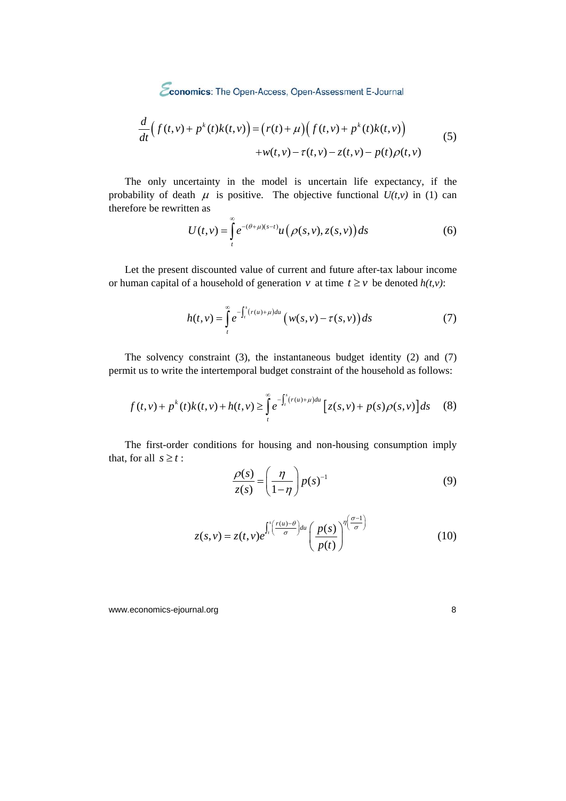$$
\frac{d}{dt}\Big(f(t,v) + p^k(t)k(t,v)\Big) = (r(t) + \mu)\Big(f(t,v) + p^k(t)k(t,v)\Big) \n+ w(t,v) - \tau(t,v) - z(t,v) - p(t)\rho(t,v)
$$
\n(5)

The only uncertainty in the model is uncertain life expectancy, if the probability of death  $\mu$  is positive. The objective functional  $U(t, v)$  in (1) can therefore be rewritten as ∞

$$
U(t,v) = \int_{t}^{\infty} e^{-(\theta + \mu)(s-t)} u\big(\rho(s,v), z(s,v)\big) ds \tag{6}
$$

Let the present discounted value of current and future after-tax labour income or human capital of a household of generation *v* at time  $t \ge v$  be denoted  $h(t, v)$ :

$$
h(t,v) = \int_{t}^{\infty} e^{-\int_{t}^{s}(r(u)+\mu)du} \left(w(s,v) - \tau(s,v)\right)ds\tag{7}
$$

The solvency constraint (3), the instantaneous budget identity (2) and (7) permit us to write the intertemporal budget constraint of the household as follows:

$$
f(t,v) + p^{k}(t)k(t,v) + h(t,v) \ge \int_{t}^{\infty} e^{-\int_{t}^{s}(r(u)+\mu)du} \left[ z(s,v) + p(s)\rho(s,v) \right] ds \quad (8)
$$

The first-order conditions for housing and non-housing consumption imply that, for all  $s \geq t$ :

$$
\frac{\rho(s)}{z(s)} = \left(\frac{\eta}{1-\eta}\right) p(s)^{-1}
$$
\n(9)

$$
z(s,v) = z(t,v)e^{\int_t^s \left(\frac{r(u)-\theta}{\sigma}\right)du} \left(\frac{p(s)}{p(t)}\right)^{\eta\left(\frac{\sigma-1}{\sigma}\right)}
$$
(10)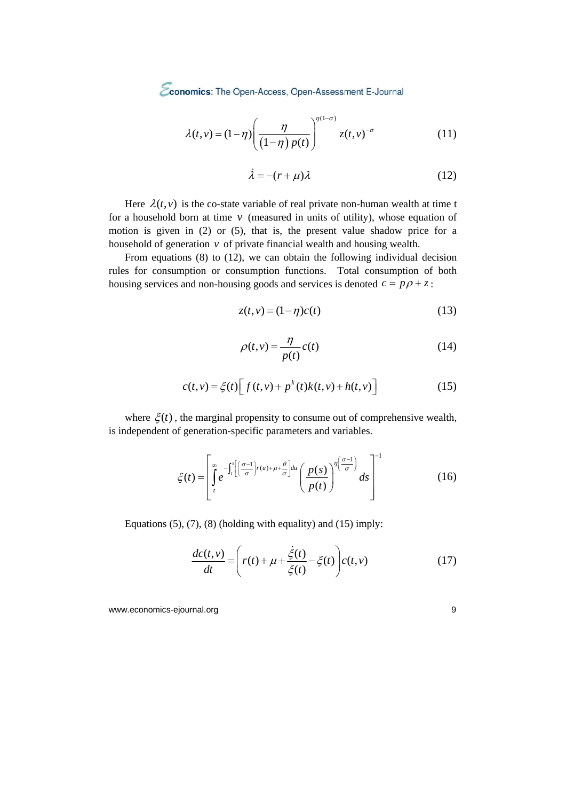$$
\lambda(t,v) = (1-\eta) \left( \frac{\eta}{\left(1-\eta\right)p(t)} \right)^{\eta(1-\sigma)} z(t,v)^{-\sigma} \tag{11}
$$

$$
\dot{\lambda} = -(r + \mu)\lambda\tag{12}
$$

Here  $\lambda(t, v)$  is the co-state variable of real private non-human wealth at time t for a household born at time  $\nu$  (measured in units of utility), whose equation of motion is given in (2) or (5), that is, the present value shadow price for a household of generation  $\nu$  of private financial wealth and housing wealth.

From equations (8) to (12), we can obtain the following individual decision rules for consumption or consumption functions. Total consumption of both housing services and non-housing goods and services is denoted  $c = p\rho + z$ :

$$
z(t, v) = (1 - \eta)c(t)
$$
\n(13)

$$
\rho(t,v) = \frac{\eta}{p(t)} c(t) \tag{14}
$$

$$
c(t,v) = \xi(t) \Big[ f(t,v) + p^k(t)k(t,v) + h(t,v) \Big]
$$
 (15)

where  $\xi(t)$ , the marginal propensity to consume out of comprehensive wealth, is independent of generation-specific parameters and variables.

$$
\xi(t) = \left[\int_{t}^{\infty} e^{-\int_{t}^{s} \left[\left(\frac{\sigma-1}{\sigma}\right) r(u) + \mu + \frac{\theta}{\sigma}\right] du} \left(\frac{p(s)}{p(t)}\right)^{\eta\left(\frac{\sigma-1}{\sigma}\right)} ds\right]^{-1}
$$
(16)

Equations (5), (7), (8) (holding with equality) and (15) imply:

$$
\frac{dc(t,v)}{dt} = \left(r(t) + \mu + \frac{\dot{\xi}(t)}{\xi(t)} - \xi(t)\right)c(t,v)
$$
\n(17)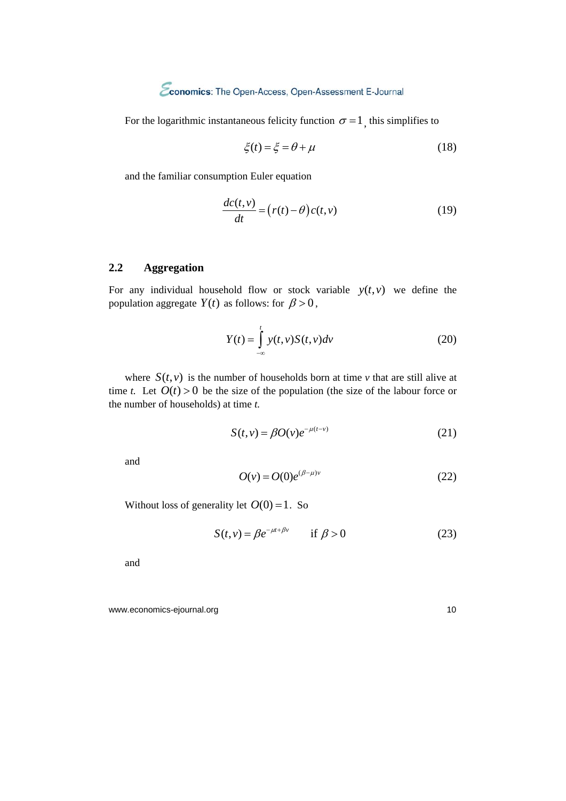For the logarithmic instantaneous felicity function  $\sigma = 1$ , this simplifies to

$$
\xi(t) = \xi = \theta + \mu \tag{18}
$$

and the familiar consumption Euler equation

$$
\frac{dc(t,v)}{dt} = (r(t) - \theta)c(t,v)
$$
\n(19)

#### **2.2 Aggregation**

For any individual household flow or stock variable  $y(t, v)$  we define the population aggregate  $Y(t)$  as follows: for  $\beta > 0$ ,

$$
Y(t) = \int_{-\infty}^{t} y(t, v) S(t, v) dv
$$
 (20)

where  $S(t, v)$  is the number of households born at time *v* that are still alive at time *t*. Let  $O(t) > 0$  be the size of the population (the size of the labour force or the number of households) at time *t.* 

$$
S(t, v) = \beta O(v)e^{-\mu(t - v)}
$$
\n(21)

and

$$
O(v) = O(0)e^{(\beta - \mu)v}
$$
\n(22)

Without loss of generality let  $O(0) = 1$ . So

$$
S(t, v) = \beta e^{-\mu t + \beta v} \qquad \text{if } \beta > 0 \tag{23}
$$

and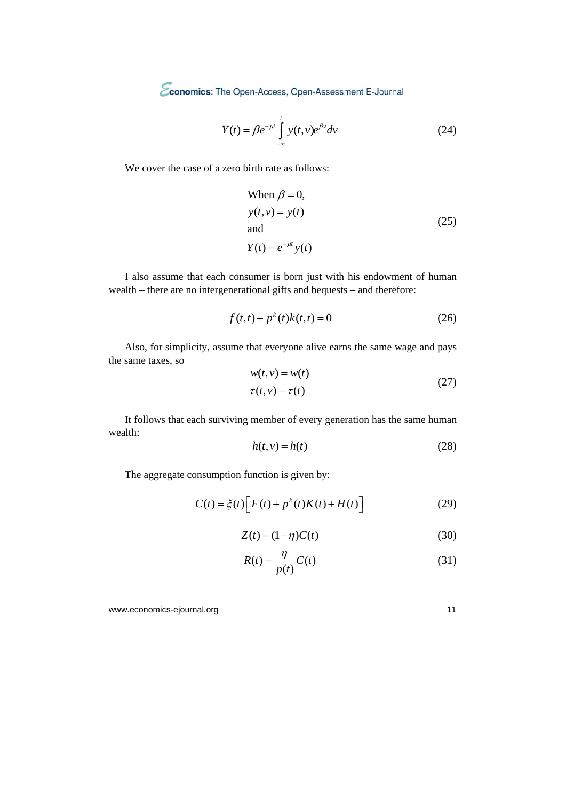$$
Y(t) = \beta e^{-\mu t} \int_{-\infty}^{t} y(t, v) e^{\beta v} dv
$$
 (24)

We cover the case of a zero birth rate as follows:

When 
$$
\beta = 0
$$
,  
\n $y(t, v) = y(t)$   
\nand  
\n $Y(t) = e^{-\mu t} y(t)$  (25)

I also assume that each consumer is born just with his endowment of human wealth – there are no intergenerational gifts and bequests – and therefore:

$$
f(t,t) + p^{k}(t)k(t,t) = 0
$$
\n(26)

Also, for simplicity, assume that everyone alive earns the same wage and pays the same taxes, so

$$
w(t, v) = w(t)
$$
  
\n
$$
\tau(t, v) = \tau(t)
$$
\n(27)

It follows that each surviving member of every generation has the same human wealth:

$$
h(t, v) = h(t) \tag{28}
$$

The aggregate consumption function is given by:

$$
C(t) = \xi(t) \left[ F(t) + p^{k}(t)K(t) + H(t) \right]
$$
 (29)

$$
Z(t) = (1 - \eta)C(t)
$$
\n(30)

$$
R(t) = \frac{\eta}{p(t)} C(t)
$$
\n(31)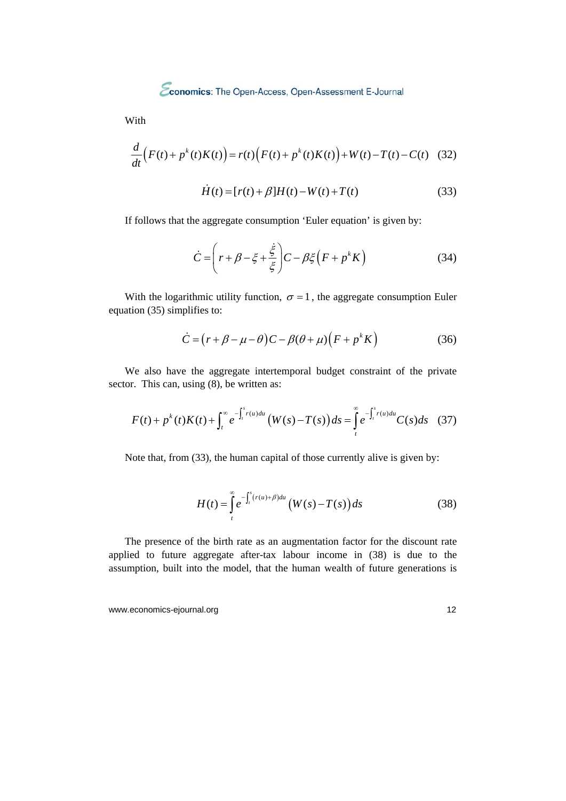With

$$
\frac{d}{dt}\Big(F(t) + p^{k}(t)K(t)\Big) = r(t)\Big(F(t) + p^{k}(t)K(t)\Big) + W(t) - T(t) - C(t) \quad (32)
$$

$$
\dot{H}(t) = [r(t) + \beta]H(t) - W(t) + T(t)
$$
\n(33)

If follows that the aggregate consumption 'Euler equation' is given by:

$$
\dot{C} = \left(r + \beta - \xi + \frac{\dot{\xi}}{\xi}\right)C - \beta\xi\left(F + p^k K\right)
$$
\n(34)

With the logarithmic utility function,  $\sigma = 1$ , the aggregate consumption Euler equation (35) simplifies to:

$$
\dot{C} = (r + \beta - \mu - \theta)C - \beta(\theta + \mu)\left(F + p^k K\right)
$$
 (36)

We also have the aggregate intertemporal budget constraint of the private sector. This can, using (8), be written as:

$$
F(t) + p^{k}(t)K(t) + \int_{t}^{\infty} e^{-\int_{t}^{s} r(u)du} \left( W(s) - T(s) \right) ds = \int_{t}^{\infty} e^{-\int_{t}^{s} r(u)du} C(s) ds \quad (37)
$$

Note that, from (33), the human capital of those currently alive is given by:

$$
H(t) = \int_{t}^{\infty} e^{-\int_{t}^{s} (r(u) + \beta) du} \left( W(s) - T(s) \right) ds \tag{38}
$$

The presence of the birth rate as an augmentation factor for the discount rate applied to future aggregate after-tax labour income in (38) is due to the assumption, built into the model, that the human wealth of future generations is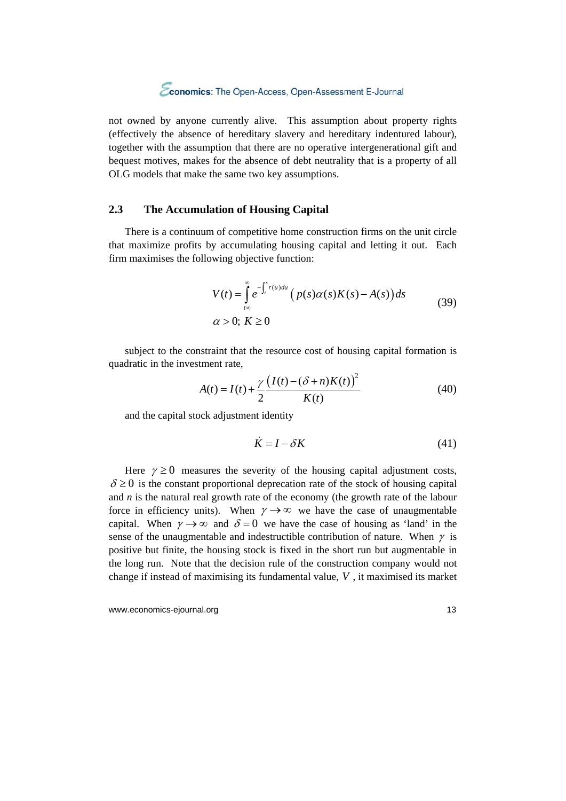not owned by anyone currently alive. This assumption about property rights (effectively the absence of hereditary slavery and hereditary indentured labour), together with the assumption that there are no operative intergenerational gift and bequest motives, makes for the absence of debt neutrality that is a property of all OLG models that make the same two key assumptions.

#### **2.3 The Accumulation of Housing Capital**

There is a continuum of competitive home construction firms on the unit circle that maximize profits by accumulating housing capital and letting it out. Each firm maximises the following objective function:

$$
V(t) = \int_{t\infty}^{\infty} e^{-\int_{t}^{s} r(u) du} \left( p(s)\alpha(s)K(s) - A(s) \right) ds
$$
  
\n
$$
\alpha > 0; K \ge 0
$$
\n(39)

subject to the constraint that the resource cost of housing capital formation is quadratic in the investment rate,

$$
A(t) = I(t) + \frac{\gamma}{2} \frac{\left(I(t) - (\delta + n)K(t)\right)^2}{K(t)}
$$
(40)

and the capital stock adjustment identity

$$
\dot{K} = I - \delta K \tag{41}
$$

Here  $\gamma \ge 0$  measures the severity of the housing capital adjustment costs,  $\delta \geq 0$  is the constant proportional deprecation rate of the stock of housing capital and *n* is the natural real growth rate of the economy (the growth rate of the labour force in efficiency units). When  $\gamma \rightarrow \infty$  we have the case of unaugmentable capital. When  $\gamma \rightarrow \infty$  and  $\delta = 0$  we have the case of housing as 'land' in the sense of the unaugmentable and indestructible contribution of nature. When  $\gamma$  is positive but finite, the housing stock is fixed in the short run but augmentable in the long run. Note that the decision rule of the construction company would not change if instead of maximising its fundamental value, *V* , it maximised its market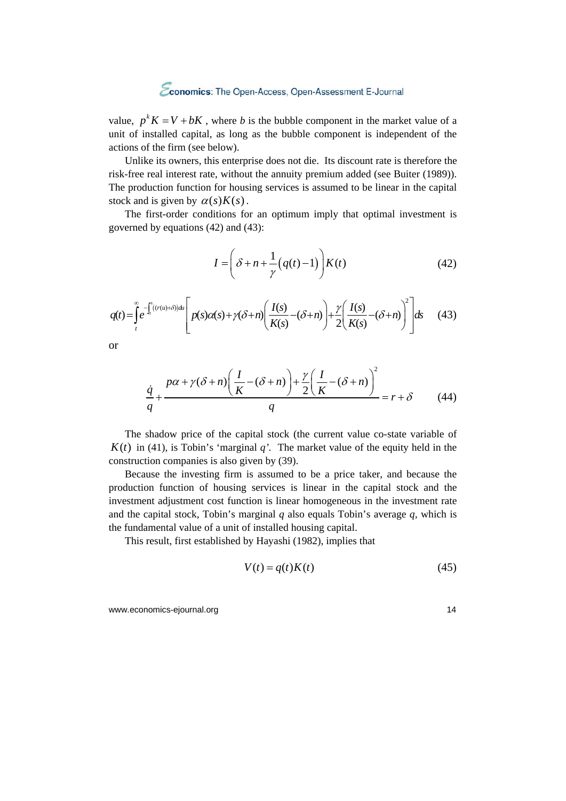value,  $p^{k} K = V + bK$ , where *b* is the bubble component in the market value of a unit of installed capital, as long as the bubble component is independent of the actions of the firm (see below).

Unlike its owners, this enterprise does not die. Its discount rate is therefore the risk-free real interest rate, without the annuity premium added (see Buiter (1989)). The production function for housing services is assumed to be linear in the capital stock and is given by  $\alpha(s)K(s)$ .

The first-order conditions for an optimum imply that optimal investment is governed by equations (42) and (43):

$$
I = \left(\delta + n + \frac{1}{\gamma} \left(q(t) - 1\right)\right) K(t) \tag{42}
$$

$$
q(t) = \int_{t}^{\infty} e^{-\int_{t}^{s} ((r(u)+\delta))du} \left[ p(s)\alpha(s) + \gamma(\delta+n) \left( \frac{I(s)}{K(s)} - (\delta+n) \right) + \frac{\gamma}{2} \left( \frac{I(s)}{K(s)} - (\delta+n) \right)^{2} \right] ds \quad (43)
$$

or

$$
\frac{\dot{q}}{q} + \frac{p\alpha + \gamma(\delta + n)\left(\frac{I}{K} - (\delta + n)\right) + \frac{\gamma}{2}\left(\frac{I}{K} - (\delta + n)\right)^2}{q} = r + \delta \tag{44}
$$

The shadow price of the capital stock (the current value co-state variable of  $K(t)$  in (41), is Tobin's 'marginal  $q$ '. The market value of the equity held in the construction companies is also given by (39).

Because the investing firm is assumed to be a price taker, and because the production function of housing services is linear in the capital stock and the investment adjustment cost function is linear homogeneous in the investment rate and the capital stock, Tobin's marginal *q* also equals Tobin's average *q,* which is the fundamental value of a unit of installed housing capital.

This result, first established by Hayashi (1982), implies that

$$
V(t) = q(t)K(t)
$$
\n(45)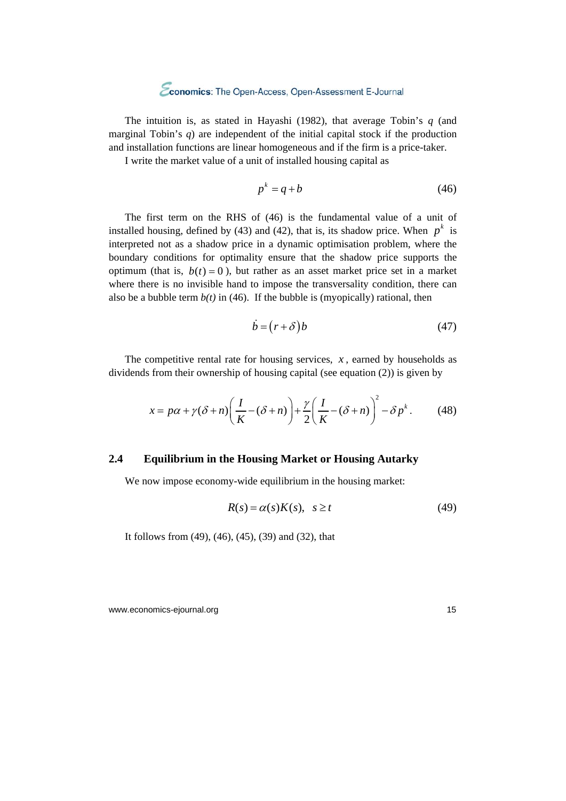The intuition is, as stated in Hayashi (1982), that average Tobin's *q* (and marginal Tobin's  $q$ ) are independent of the initial capital stock if the production and installation functions are linear homogeneous and if the firm is a price-taker.

I write the market value of a unit of installed housing capital as

$$
p^k = q + b \tag{46}
$$

The first term on the RHS of (46) is the fundamental value of a unit of installed housing, defined by (43) and (42), that is, its shadow price. When  $p^k$  is interpreted not as a shadow price in a dynamic optimisation problem, where the boundary conditions for optimality ensure that the shadow price supports the optimum (that is,  $b(t) = 0$ ), but rather as an asset market price set in a market where there is no invisible hand to impose the transversality condition, there can also be a bubble term  $b(t)$  in (46). If the bubble is (myopically) rational, then

$$
\dot{b} = (r + \delta)b \tag{47}
$$

The competitive rental rate for housing services,  $x$ , earned by households as dividends from their ownership of housing capital (see equation (2)) is given by

$$
x = p\alpha + \gamma(\delta + n)\left(\frac{I}{K} - (\delta + n)\right) + \frac{\gamma}{2}\left(\frac{I}{K} - (\delta + n)\right)^2 - \delta p^k.
$$
 (48)

#### **2.4 Equilibrium in the Housing Market or Housing Autarky**

We now impose economy-wide equilibrium in the housing market:

$$
R(s) = \alpha(s)K(s), \quad s \ge t \tag{49}
$$

It follows from (49), (46), (45), (39) and (32), that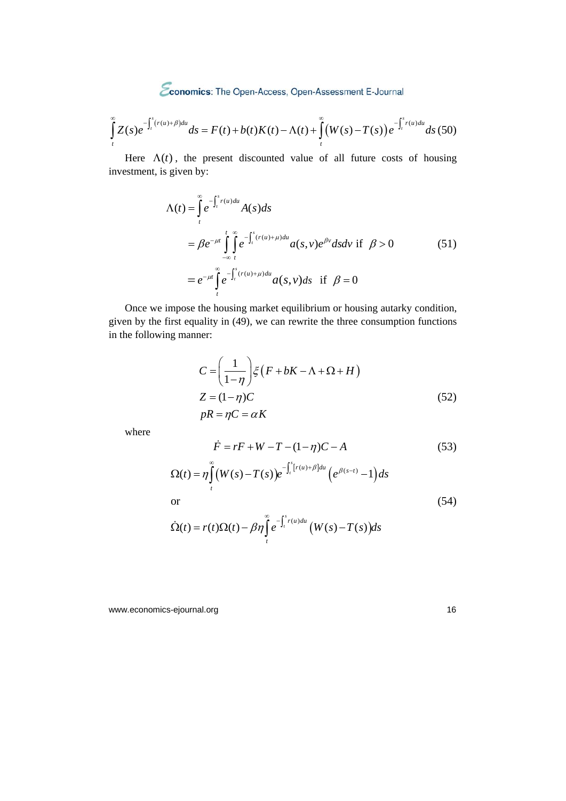$$
\int_{t}^{\infty} Z(s)e^{-\int_{t}^{s}(r(u)+\beta)du}ds = F(t)+b(t)K(t)-\Lambda(t)+\int_{t}^{\infty} (W(s)-T(s))e^{-\int_{t}^{s} r(u)du}ds
$$
 (50)

Here  $\Lambda(t)$ , the present discounted value of all future costs of housing investment, is given by:

$$
\Lambda(t) = \int_{t}^{\infty} e^{-\int_{t}^{s} r(u) du} A(s) ds
$$
  
\n
$$
= \beta e^{-\mu t} \int_{-\infty}^{t} \int_{t}^{\infty} e^{-\int_{t}^{s} (r(u) + \mu) du} a(s, v) e^{\beta v} ds dv \text{ if } \beta > 0
$$
  
\n
$$
= e^{-\mu t} \int_{t}^{\infty} e^{-\int_{t}^{s} (r(u) + \mu) du} a(s, v) ds \text{ if } \beta = 0
$$
\n(51)

Once we impose the housing market equilibrium or housing autarky condition, given by the first equality in (49), we can rewrite the three consumption functions in the following manner:

$$
C = \left(\frac{1}{1-\eta}\right) \xi \left(F + bK - \Lambda + \Omega + H\right)
$$
  
\n
$$
Z = (1-\eta)C
$$
  
\n
$$
pR = \eta C = \alpha K
$$
\n(52)

where

$$
\dot{F} = rF + W - T - (1 - \eta)C - A \tag{53}
$$
\n
$$
\Omega(t) = \eta \int_{t}^{\infty} (W(s) - T(s))e^{-\int_{t}^{s} [r(u) + \beta]du} (e^{\beta(s-t)} - 1) ds
$$
\nor\n
$$
\Omega(t) = \int_{t}^{\infty} \int_{t}^{\infty} e^{-\int_{t}^{s} r(u) du} (W(s) - T(s)) ds \tag{54}
$$

$$
\dot{\Omega}(t) = r(t)\Omega(t) - \beta\eta \int_{t}^{\infty} e^{-\int_{t}^{s} r(u)du} \left(W(s) - T(s)\right)ds
$$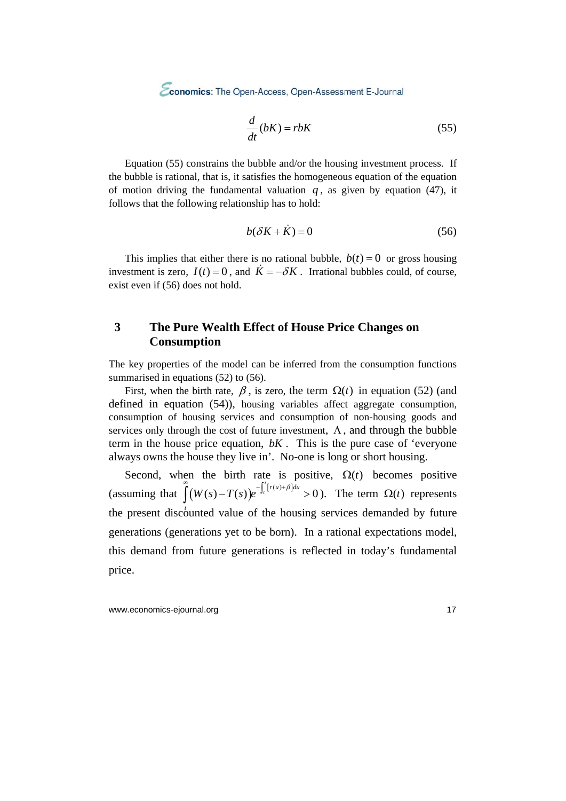$$
\frac{d}{dt}(bK) = rbK\tag{55}
$$

Equation (55) constrains the bubble and/or the housing investment process. If the bubble is rational, that is, it satisfies the homogeneous equation of the equation of motion driving the fundamental valuation  $q$ , as given by equation (47), it follows that the following relationship has to hold:

$$
b(\delta K + \dot{K}) = 0 \tag{56}
$$

This implies that either there is no rational bubble,  $b(t) = 0$  or gross housing investment is zero,  $I(t) = 0$ , and  $\dot{K} = -\delta K$ . Irrational bubbles could, of course, exist even if (56) does not hold.

## **3 The Pure Wealth Effect of House Price Changes on Consumption**

The key properties of the model can be inferred from the consumption functions summarised in equations (52) to (56).

First, when the birth rate,  $\beta$ , is zero, the term  $\Omega(t)$  in equation (52) (and defined in equation (54)), housing variables affect aggregate consumption, consumption of housing services and consumption of non-housing goods and services only through the cost of future investment,  $\Lambda$ , and through the bubble term in the house price equation,  $bK$ . This is the pure case of 'everyone always owns the house they live in'. No-one is long or short housing.

Second, when the birth rate is positive,  $\Omega(t)$  becomes positive (assuming that  $\int (W(s) - T(s)) e^{-\int_t [r(u) + \beta] du} > 0$  $\int_{0}^{\infty} (W(s) - T(s)) e^{-\int_{t}^{s} [r(u) + \beta] du} > 0$ . The term  $\Omega(t)$  represents the present discounted value of the housing services demanded by future generations (generations yet to be born). In a rational expectations model, this demand from future generations is reflected in today's fundamental price.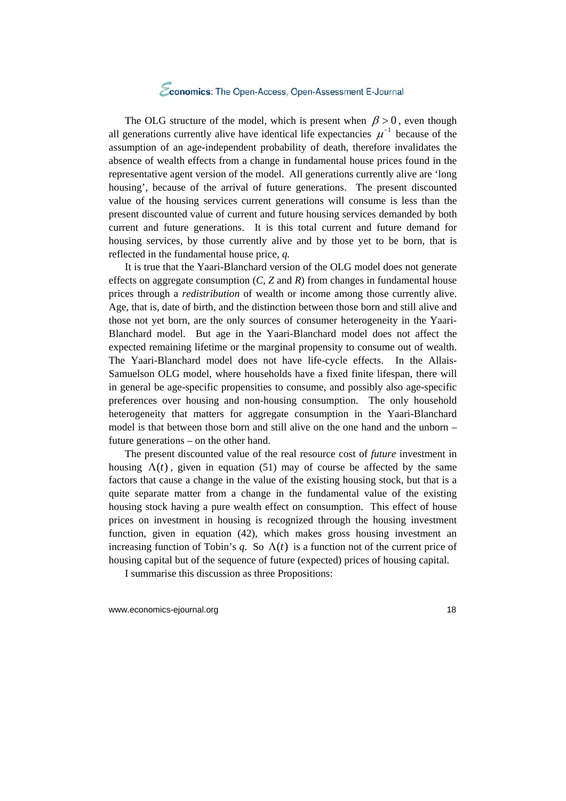The OLG structure of the model, which is present when  $\beta > 0$ , even though all generations currently alive have identical life expectancies  $\mu^{-1}$  because of the assumption of an age-independent probability of death, therefore invalidates the absence of wealth effects from a change in fundamental house prices found in the representative agent version of the model. All generations currently alive are 'long housing', because of the arrival of future generations. The present discounted value of the housing services current generations will consume is less than the present discounted value of current and future housing services demanded by both current and future generations. It is this total current and future demand for housing services, by those currently alive and by those yet to be born, that is reflected in the fundamental house price, *q.*

It is true that the Yaari-Blanchard version of the OLG model does not generate effects on aggregate consumption (*C*, *Z* and *R*) from changes in fundamental house prices through a *redistribution* of wealth or income among those currently alive. Age, that is, date of birth, and the distinction between those born and still alive and those not yet born, are the only sources of consumer heterogeneity in the Yaari-Blanchard model. But age in the Yaari-Blanchard model does not affect the expected remaining lifetime or the marginal propensity to consume out of wealth. The Yaari-Blanchard model does not have life-cycle effects. In the Allais-Samuelson OLG model, where households have a fixed finite lifespan, there will in general be age-specific propensities to consume, and possibly also age-specific preferences over housing and non-housing consumption. The only household heterogeneity that matters for aggregate consumption in the Yaari-Blanchard model is that between those born and still alive on the one hand and the unborn – future generations – on the other hand.

The present discounted value of the real resource cost of *future* investment in housing  $\Lambda(t)$ , given in equation (51) may of course be affected by the same factors that cause a change in the value of the existing housing stock, but that is a quite separate matter from a change in the fundamental value of the existing housing stock having a pure wealth effect on consumption. This effect of house prices on investment in housing is recognized through the housing investment function, given in equation (42), which makes gross housing investment an increasing function of Tobin's *q*. So  $\Lambda(t)$  is a function not of the current price of housing capital but of the sequence of future (expected) prices of housing capital.

I summarise this discussion as three Propositions: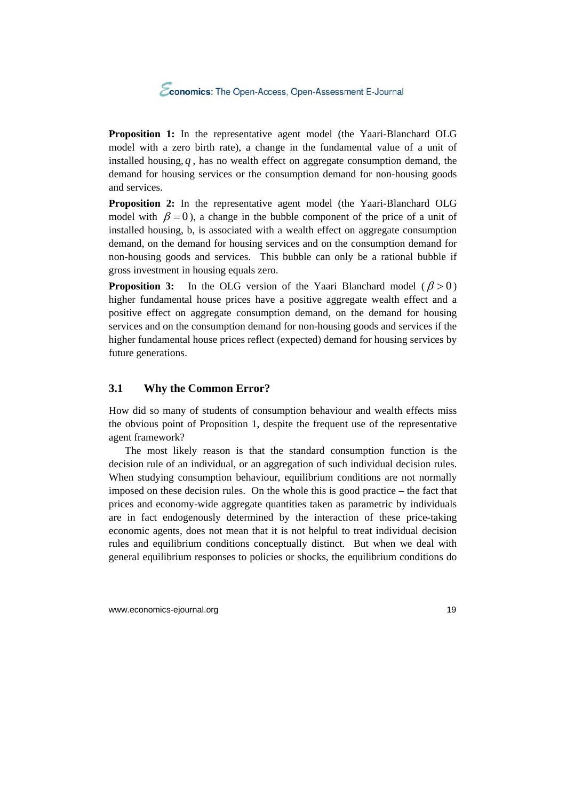**Proposition 1:** In the representative agent model (the Yaari-Blanchard OLG model with a zero birth rate), a change in the fundamental value of a unit of installed housing,  $q$ , has no wealth effect on aggregate consumption demand, the demand for housing services or the consumption demand for non-housing goods and services.

**Proposition 2:** In the representative agent model (the Yaari-Blanchard OLG model with  $\beta = 0$ ), a change in the bubble component of the price of a unit of installed housing, b, is associated with a wealth effect on aggregate consumption demand, on the demand for housing services and on the consumption demand for non-housing goods and services. This bubble can only be a rational bubble if gross investment in housing equals zero.

**Proposition 3:** In the OLG version of the Yaari Blanchard model ( $\beta > 0$ ) higher fundamental house prices have a positive aggregate wealth effect and a positive effect on aggregate consumption demand, on the demand for housing services and on the consumption demand for non-housing goods and services if the higher fundamental house prices reflect (expected) demand for housing services by future generations.

#### **3.1 Why the Common Error?**

How did so many of students of consumption behaviour and wealth effects miss the obvious point of Proposition 1, despite the frequent use of the representative agent framework?

The most likely reason is that the standard consumption function is the decision rule of an individual, or an aggregation of such individual decision rules. When studying consumption behaviour, equilibrium conditions are not normally imposed on these decision rules. On the whole this is good practice – the fact that prices and economy-wide aggregate quantities taken as parametric by individuals are in fact endogenously determined by the interaction of these price-taking economic agents, does not mean that it is not helpful to treat individual decision rules and equilibrium conditions conceptually distinct. But when we deal with general equilibrium responses to policies or shocks, the equilibrium conditions do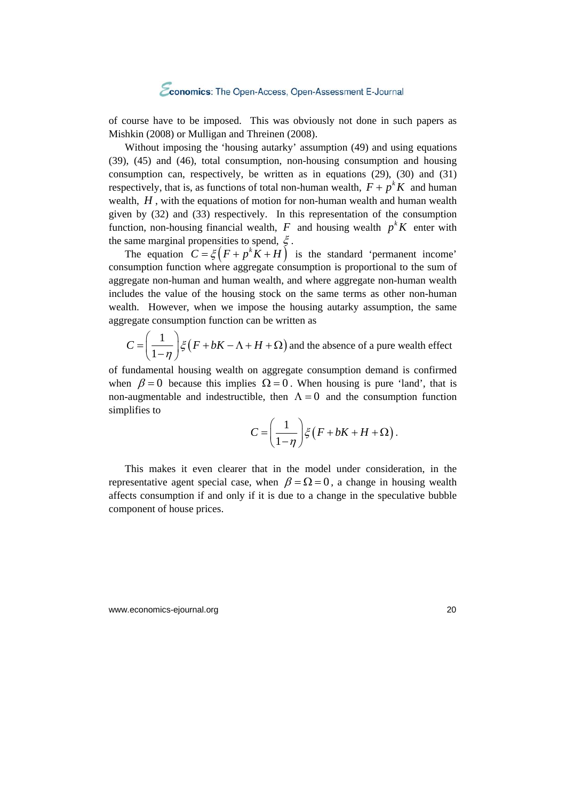of course have to be imposed. This was obviously not done in such papers as Mishkin (2008) or Mulligan and Threinen (2008).

Without imposing the 'housing autarky' assumption (49) and using equations (39), (45) and (46), total consumption, non-housing consumption and housing consumption can, respectively, be written as in equations (29), (30) and (31) respectively, that is, as functions of total non-human wealth,  $F + p^{k}K$  and human wealth, *H* , with the equations of motion for non-human wealth and human wealth given by (32) and (33) respectively. In this representation of the consumption function, non-housing financial wealth,  $F$  and housing wealth  $p<sup>k</sup>K$  enter with the same marginal propensities to spend,  $\xi$ .

The equation  $C = \xi (F + p^{k} K + H)$  is the standard 'permanent income' consumption function where aggregate consumption is proportional to the sum of aggregate non-human and human wealth, and where aggregate non-human wealth includes the value of the housing stock on the same terms as other non-human wealth. However, when we impose the housing autarky assumption, the same aggregate consumption function can be written as

$$
C = \left(\frac{1}{1-\eta}\right) \xi \left(F + bK - \Lambda + H + \Omega\right)
$$
 and the absence of a pure wealth effect

of fundamental housing wealth on aggregate consumption demand is confirmed when  $\beta = 0$  because this implies  $\Omega = 0$ . When housing is pure 'land', that is non-augmentable and indestructible, then  $\Lambda = 0$  and the consumption function simplifies to

$$
C = \left(\frac{1}{1-\eta}\right) \xi \left(F + bK + H + \Omega\right).
$$

This makes it even clearer that in the model under consideration, in the representative agent special case, when  $\beta = \Omega = 0$ , a change in housing wealth affects consumption if and only if it is due to a change in the speculative bubble component of house prices.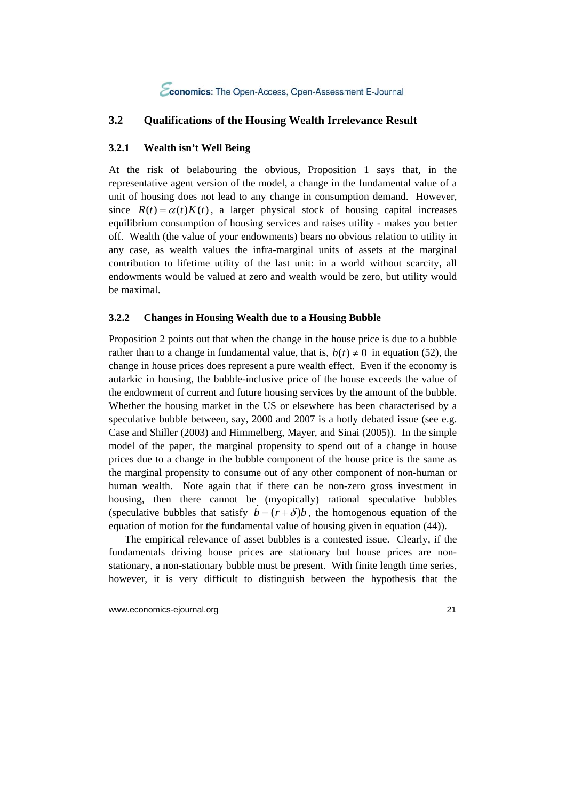

#### **3.2 Qualifications of the Housing Wealth Irrelevance Result**

#### **3.2.1 Wealth isn't Well Being**

At the risk of belabouring the obvious, Proposition 1 says that, in the representative agent version of the model, a change in the fundamental value of a unit of housing does not lead to any change in consumption demand. However, since  $R(t) = \alpha(t) K(t)$ , a larger physical stock of housing capital increases equilibrium consumption of housing services and raises utility - makes you better off. Wealth (the value of your endowments) bears no obvious relation to utility in any case, as wealth values the infra-marginal units of assets at the marginal contribution to lifetime utility of the last unit: in a world without scarcity, all endowments would be valued at zero and wealth would be zero, but utility would be maximal.

#### **3.2.2 Changes in Housing Wealth due to a Housing Bubble**

Proposition 2 points out that when the change in the house price is due to a bubble rather than to a change in fundamental value, that is,  $b(t) \neq 0$  in equation (52), the change in house prices does represent a pure wealth effect. Even if the economy is autarkic in housing, the bubble-inclusive price of the house exceeds the value of the endowment of current and future housing services by the amount of the bubble. Whether the housing market in the US or elsewhere has been characterised by a speculative bubble between, say, 2000 and 2007 is a hotly debated issue (see e.g. Case and Shiller (2003) and Himmelberg, Mayer, and Sinai (2005)). In the simple model of the paper, the marginal propensity to spend out of a change in house prices due to a change in the bubble component of the house price is the same as the marginal propensity to consume out of any other component of non-human or human wealth. Note again that if there can be non-zero gross investment in housing, then there cannot be (myopically) rational speculative bubbles (speculative bubbles that satisfy  $b = (r + \delta)b$ , the homogenous equation of the equation of motion for the fundamental value of housing given in equation (44)).

The empirical relevance of asset bubbles is a contested issue. Clearly, if the fundamentals driving house prices are stationary but house prices are nonstationary, a non-stationary bubble must be present. With finite length time series, however, it is very difficult to distinguish between the hypothesis that the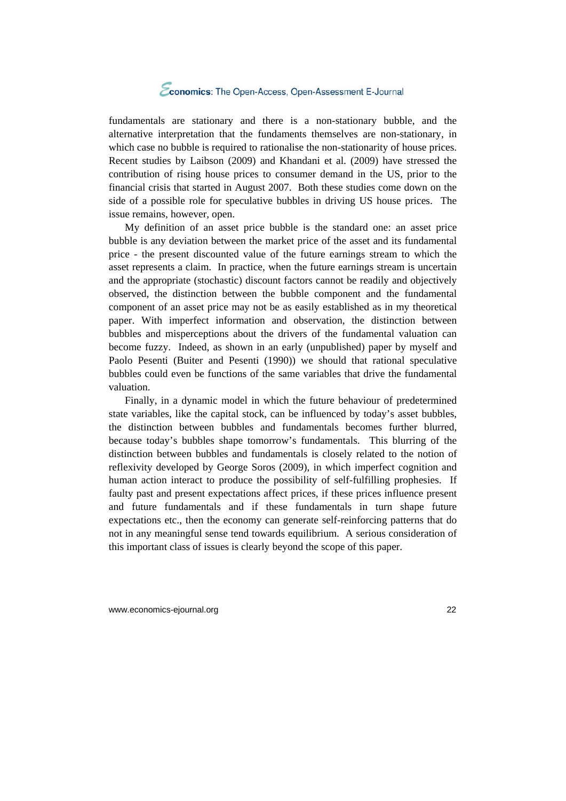fundamentals are stationary and there is a non-stationary bubble, and the alternative interpretation that the fundaments themselves are non-stationary, in which case no bubble is required to rationalise the non-stationarity of house prices. Recent studies by Laibson (2009) and Khandani et al. (2009) have stressed the contribution of rising house prices to consumer demand in the US, prior to the financial crisis that started in August 2007. Both these studies come down on the side of a possible role for speculative bubbles in driving US house prices. The issue remains, however, open.

My definition of an asset price bubble is the standard one: an asset price bubble is any deviation between the market price of the asset and its fundamental price - the present discounted value of the future earnings stream to which the asset represents a claim. In practice, when the future earnings stream is uncertain and the appropriate (stochastic) discount factors cannot be readily and objectively observed, the distinction between the bubble component and the fundamental component of an asset price may not be as easily established as in my theoretical paper. With imperfect information and observation, the distinction between bubbles and misperceptions about the drivers of the fundamental valuation can become fuzzy. Indeed, as shown in an early (unpublished) paper by myself and Paolo Pesenti (Buiter and Pesenti (1990)) we should that rational speculative bubbles could even be functions of the same variables that drive the fundamental valuation.

Finally, in a dynamic model in which the future behaviour of predetermined state variables, like the capital stock, can be influenced by today's asset bubbles, the distinction between bubbles and fundamentals becomes further blurred, because today's bubbles shape tomorrow's fundamentals. This blurring of the distinction between bubbles and fundamentals is closely related to the notion of reflexivity developed by George Soros (2009), in which imperfect cognition and human action interact to produce the possibility of self-fulfilling prophesies. If faulty past and present expectations affect prices, if these prices influence present and future fundamentals and if these fundamentals in turn shape future expectations etc., then the economy can generate self-reinforcing patterns that do not in any meaningful sense tend towards equilibrium. A serious consideration of this important class of issues is clearly beyond the scope of this paper.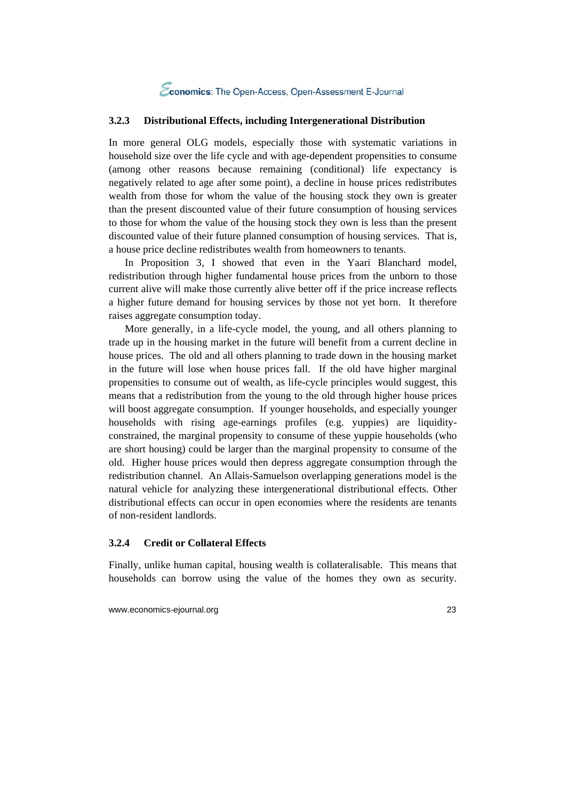

#### **3.2.3 Distributional Effects, including Intergenerational Distribution**

In more general OLG models, especially those with systematic variations in household size over the life cycle and with age-dependent propensities to consume (among other reasons because remaining (conditional) life expectancy is negatively related to age after some point), a decline in house prices redistributes wealth from those for whom the value of the housing stock they own is greater than the present discounted value of their future consumption of housing services to those for whom the value of the housing stock they own is less than the present discounted value of their future planned consumption of housing services. That is, a house price decline redistributes wealth from homeowners to tenants.

In Proposition 3, I showed that even in the Yaari Blanchard model, redistribution through higher fundamental house prices from the unborn to those current alive will make those currently alive better off if the price increase reflects a higher future demand for housing services by those not yet born. It therefore raises aggregate consumption today.

More generally, in a life-cycle model, the young, and all others planning to trade up in the housing market in the future will benefit from a current decline in house prices. The old and all others planning to trade down in the housing market in the future will lose when house prices fall. If the old have higher marginal propensities to consume out of wealth, as life-cycle principles would suggest, this means that a redistribution from the young to the old through higher house prices will boost aggregate consumption. If younger households, and especially younger households with rising age-earnings profiles (e.g. yuppies) are liquidityconstrained, the marginal propensity to consume of these yuppie households (who are short housing) could be larger than the marginal propensity to consume of the old. Higher house prices would then depress aggregate consumption through the redistribution channel. An Allais-Samuelson overlapping generations model is the natural vehicle for analyzing these intergenerational distributional effects. Other distributional effects can occur in open economies where the residents are tenants of non-resident landlords.

#### **3.2.4 Credit or Collateral Effects**

Finally, unlike human capital, housing wealth is collateralisable. This means that households can borrow using the value of the homes they own as security.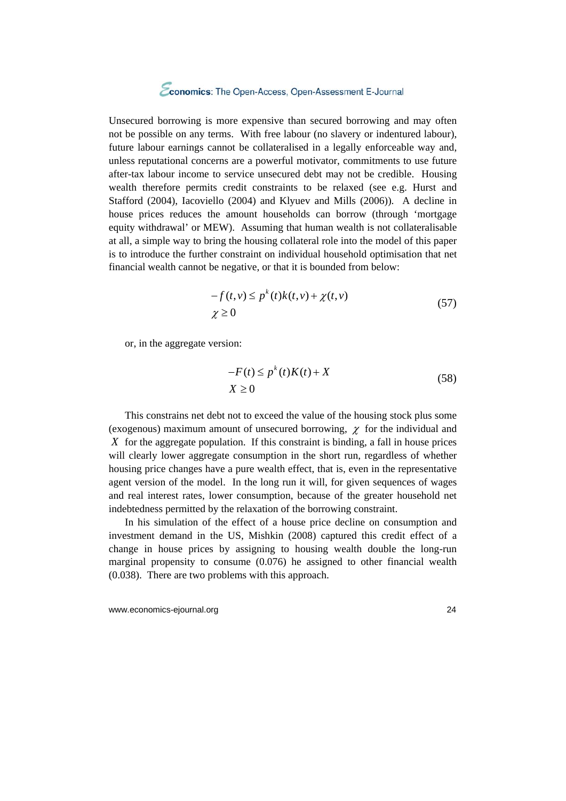Unsecured borrowing is more expensive than secured borrowing and may often not be possible on any terms. With free labour (no slavery or indentured labour), future labour earnings cannot be collateralised in a legally enforceable way and, unless reputational concerns are a powerful motivator, commitments to use future after-tax labour income to service unsecured debt may not be credible. Housing wealth therefore permits credit constraints to be relaxed (see e.g. Hurst and Stafford (2004), Iacoviello (2004) and Klyuev and Mills (2006)). A decline in house prices reduces the amount households can borrow (through 'mortgage equity withdrawal' or MEW). Assuming that human wealth is not collateralisable at all, a simple way to bring the housing collateral role into the model of this paper is to introduce the further constraint on individual household optimisation that net financial wealth cannot be negative, or that it is bounded from below:

$$
-f(t, v) \le p^k(t)k(t, v) + \chi(t, v)
$$
  
 
$$
\chi \ge 0
$$
 (57)

or, in the aggregate version:

$$
-F(t) \le p^k(t)K(t) + X
$$
  
 
$$
X \ge 0
$$
 (58)

This constrains net debt not to exceed the value of the housing stock plus some (exogenous) maximum amount of unsecured borrowing,  $\chi$  for the individual and *X* for the aggregate population. If this constraint is binding, a fall in house prices will clearly lower aggregate consumption in the short run, regardless of whether housing price changes have a pure wealth effect, that is, even in the representative agent version of the model. In the long run it will, for given sequences of wages and real interest rates, lower consumption, because of the greater household net indebtedness permitted by the relaxation of the borrowing constraint.

In his simulation of the effect of a house price decline on consumption and investment demand in the US, Mishkin (2008) captured this credit effect of a change in house prices by assigning to housing wealth double the long-run marginal propensity to consume (0.076) he assigned to other financial wealth (0.038). There are two problems with this approach.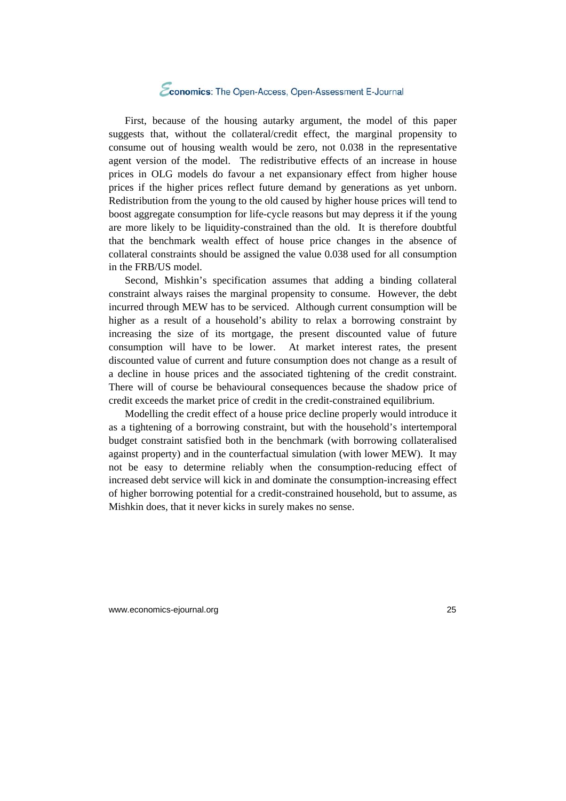First, because of the housing autarky argument, the model of this paper suggests that, without the collateral/credit effect, the marginal propensity to consume out of housing wealth would be zero, not 0.038 in the representative agent version of the model. The redistributive effects of an increase in house prices in OLG models do favour a net expansionary effect from higher house prices if the higher prices reflect future demand by generations as yet unborn. Redistribution from the young to the old caused by higher house prices will tend to boost aggregate consumption for life-cycle reasons but may depress it if the young are more likely to be liquidity-constrained than the old. It is therefore doubtful that the benchmark wealth effect of house price changes in the absence of collateral constraints should be assigned the value 0.038 used for all consumption in the FRB/US model.

Second, Mishkin's specification assumes that adding a binding collateral constraint always raises the marginal propensity to consume. However, the debt incurred through MEW has to be serviced. Although current consumption will be higher as a result of a household's ability to relax a borrowing constraint by increasing the size of its mortgage, the present discounted value of future consumption will have to be lower. At market interest rates, the present discounted value of current and future consumption does not change as a result of a decline in house prices and the associated tightening of the credit constraint. There will of course be behavioural consequences because the shadow price of credit exceeds the market price of credit in the credit-constrained equilibrium.

Modelling the credit effect of a house price decline properly would introduce it as a tightening of a borrowing constraint, but with the household's intertemporal budget constraint satisfied both in the benchmark (with borrowing collateralised against property) and in the counterfactual simulation (with lower MEW). It may not be easy to determine reliably when the consumption-reducing effect of increased debt service will kick in and dominate the consumption-increasing effect of higher borrowing potential for a credit-constrained household, but to assume, as Mishkin does, that it never kicks in surely makes no sense.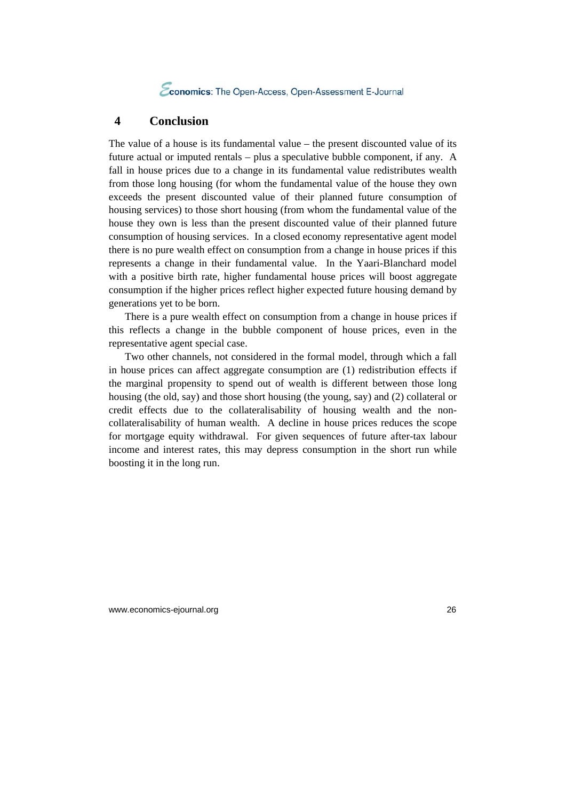#### **4 Conclusion**

The value of a house is its fundamental value – the present discounted value of its future actual or imputed rentals – plus a speculative bubble component, if any. A fall in house prices due to a change in its fundamental value redistributes wealth from those long housing (for whom the fundamental value of the house they own exceeds the present discounted value of their planned future consumption of housing services) to those short housing (from whom the fundamental value of the house they own is less than the present discounted value of their planned future consumption of housing services. In a closed economy representative agent model there is no pure wealth effect on consumption from a change in house prices if this represents a change in their fundamental value. In the Yaari-Blanchard model with a positive birth rate, higher fundamental house prices will boost aggregate consumption if the higher prices reflect higher expected future housing demand by generations yet to be born.

There is a pure wealth effect on consumption from a change in house prices if this reflects a change in the bubble component of house prices, even in the representative agent special case.

Two other channels, not considered in the formal model, through which a fall in house prices can affect aggregate consumption are (1) redistribution effects if the marginal propensity to spend out of wealth is different between those long housing (the old, say) and those short housing (the young, say) and (2) collateral or credit effects due to the collateralisability of housing wealth and the noncollateralisability of human wealth. A decline in house prices reduces the scope for mortgage equity withdrawal. For given sequences of future after-tax labour income and interest rates, this may depress consumption in the short run while boosting it in the long run.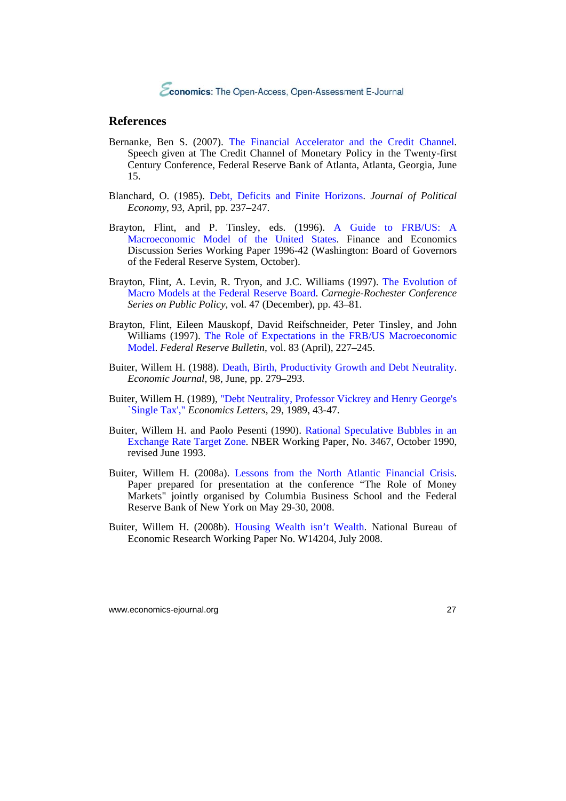#### **References**

- Bernanke, Ben S. (2007). [The Financial Accelerator and the Credit Channel.](http://www.federalreserve.gov/newsevents/speech/Bernanke20070615a.htm)  Speech given at The Credit Channel of Monetary Policy in the Twenty-first Century Conference, Federal Reserve Bank of Atlanta, Atlanta, Georgia, June 15.
- Blanchard, O. (1985). [Debt, Deficits and Finite Horizons.](http://ideas.repec.org/a/ucp/jpolec/v93y1985i2p223-47.html) *Journal of Political Economy*, 93, April, pp. 237–247.
- Bra[yton, Flint, and P. Tinsley, eds. \(1996\). A Guide to FRB/US: A](http://ideas.repec.org/p/fip/fedgfe/96-42.html)  Macroeconomic Model of the United States. Finance and Economics Discussion Series Working Paper 1996-42 (Washington: Board of Governors of the Federal Reserve System, October).
- Bra[yton, Flint, A. Levin, R. Tryon, and J.C. Williams \(1997\). The Evolution of](http://ideas.repec.org/a/eee/crcspp/v47y1997ip43-81.html)  Macro Models at the Federal Reserve Board. *Carnegie-Rochester Conference Series on Public Policy*, vol. 47 (December), pp. 43–81.
- Brayton, Flint, Eileen Mauskopf, David Reifschneider, Peter Tinsley, and John [Williams \(1997\). The Role of Expectations in the FRB/US Macroeconomic](http://ideas.repec.org/a/fip/fedgrb/y1997iaprp227-245nv.83no.4.html)  Model. *Federal Reserve Bulletin*, vol. 83 (April), 227–245.
- Buiter, Willem H. (1988). [Death, Birth, Productivity Growth and Debt Neutrality.](http://ideas.repec.org/a/ecj/econjl/v98y1988i391p279-93.html)  *Economic Journal*, 98, June, pp. 279–293.
- Buit[er, Willem H. \(1989\), "Debt Neutrality, Professor Vickrey and Henry George's](http://ideas.repec.org/a/eee/ecolet/v29y1989i1p43-47.html) `Single Tax'," *Economics Letters*, 29, 1989, 43-47.
- Buit[er, Willem H. and Paolo Pesenti \(1990\). Rational Speculative Bubbles in an](http://www.nber.org/papers/w3467)  Exchange Rate Target Zone. NBER Working Paper, No. 3467, October 1990, revised June 1993.
- Buiter, Willem H. (2008a). [Lessons from the North Atlantic Financial Crisis.](http://www.nber.org/~wbuiter/NAcrisis.pdf)  Paper prepared for presentation at the conference "The Role of Money Markets" jointly organised by Columbia Business School and the Federal Reserve Bank of New York on May 29-30, 2008.
- Buiter, Willem H. (2008b). [Housing Wealth isn't Wealth.](http://ideas.repec.org/p/nbr/nberwo/14204.html) National Bureau of Economic Research Working Paper No. W14204, July 2008.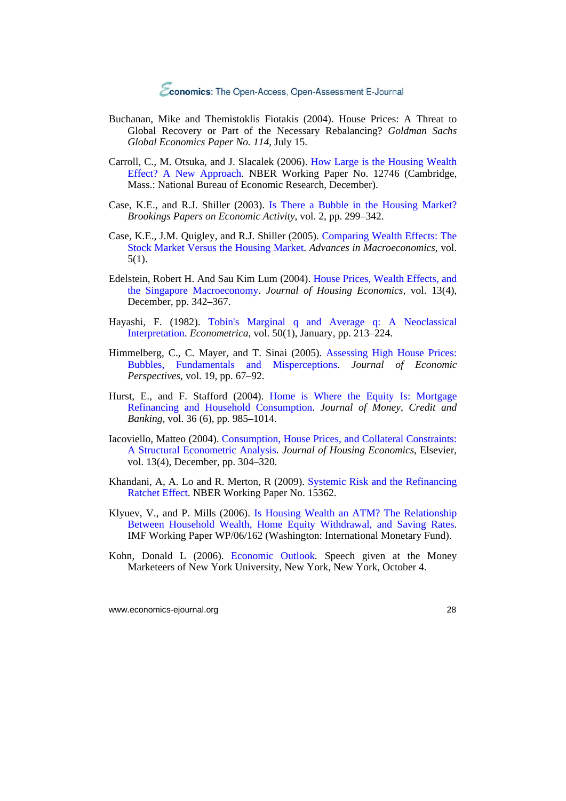- Buchanan, Mike and Themistoklis Fiotakis (2004). House Prices: A Threat to Global Recovery or Part of the Necessary Rebalancing? *Goldman Sachs Global Economics Paper No. 114*, July 15.
- Car[roll, C., M. Otsuka, and J. Slacalek \(2006\). How Large is the Housing Wealth](http://ideas.repec.org/p/jhu/papers/535.html)  Effect? A New Approach. NBER Working Paper No. 12746 (Cambridge, Mass.: National Bureau of Economic Research, December).
- Case, K.E., and R.J. Shiller (2003). [Is There a Bubble in the Housing Market?](http://www.econ.yale.edu/~shiller/pubs/p1089.pdf) *Brookings Papers on Economic Activity*, vol. 2, pp. 299–342.
- Cas[e, K.E., J.M. Quigley, and R.J. Shiller \(2005\). Comparing Wealth Effects: The](http://ideas.repec.org/a/bpj/bejmac/vadvances.5y2005i1n1.html)  Stock Market Versus the Housing Market. *Advances in Macroeconomics*, vol. 5(1).
- Ede[lstein, Robert H. And Sau Kim Lum \(2004\). House Prices, Wealth Effects, and](http://ideas.repec.org/a/eee/jhouse/v13y2004i4p342-367.html)  the Singapore Macroeconomy. *Journal of Housing Economics,* vol. 13(4), December, pp. 342–367.
- Hay[ashi, F. \(1982\). Tobin's Marginal q and Average q: A Neoclassical](http://ideas.repec.org/a/ecm/emetrp/v50y1982i1p213-24.html)  Interpretation. *Econometrica*, vol. 50(1), January, pp. 213–224.
- Hi[mmelberg, C., C. Mayer, and T. Sinai \(2005\). Assessing High House Prices:](http://ideas.repec.org/a/aea/jecper/v19y2005i4p67-92.html)  Bubbles, Fundamentals and Misperceptions. *Journal of Economic Perspectives*, vol. 19, pp. 67–92.
- Hur[st, E., and F. Stafford \(2004\). Home is Where the Equity Is: Mortgage](http://faculty.chicagobooth.edu/erik.hurst/research/equity_resubmission_jmcb_final_aug2002.pdf)  Refinancing and Household Consumption. *Journal of Money, Credit and Banking*, vol. 36 (6), pp. 985–1014.
- Iaco[viello, Matteo \(2004\). Consumption, House Prices, and Collateral Constraints:](http://fmwww.bc.edu/ec-p/wp589.pdf)  A Structural Econometric Analysis. *Journal of Housing Economics*, Elsevier, vol. 13(4), December, pp. 304–320.
- Kha[ndani, A, A. Lo and R. Merton, R \(2009\). Systemic Risk and the Refinancing](http://www.hbs.edu/research/pdf/10-023.pdf)  Ratchet Effect. NBER Working Paper No. 15362.
- Kly[uev, V., and P. Mills \(2006\). Is Housing Wealth an ATM? The Relationship](http://ideas.repec.org/p/imf/imfwpa/06-162.html)  Between Household Wealth, Home Equity Withdrawal, and Saving Rates. IMF Working Paper WP/06/162 (Washington: International Monetary Fund).
- Kohn, Donald L (2006). [Economic Outlook](http://www.federalreserve.gov/newsevents/speech/kohn20061004a.htm)*.* Speech given at the Money Marketeers of New York University, New York, New York, October 4.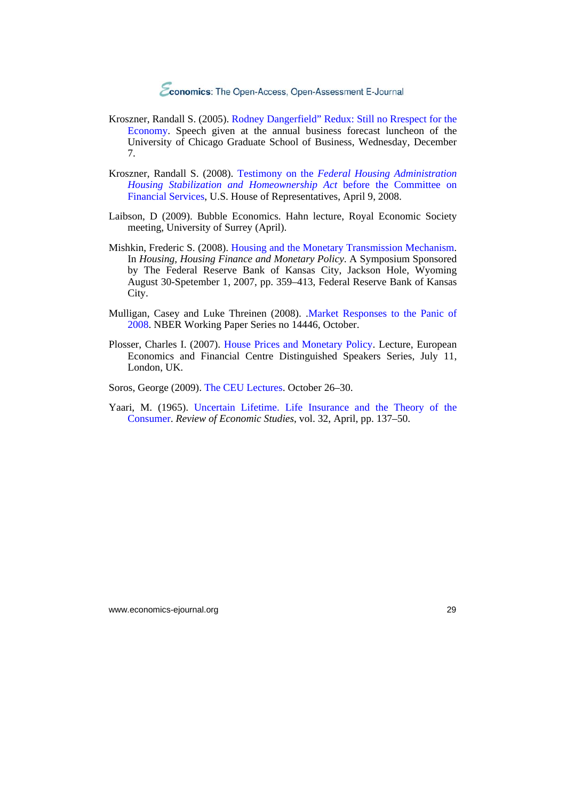- Kroszner, Randall S. (2005). Rodney Dangerfield" Redux: Still no Rrespect for the Economy. Speech given at the annual business forecast luncheon of the University of Chicago Graduate School of Business, Wednesday, December 7.
- Kroszner, Randall S. (2008). Testimony on the *Federal Housing Administration Housing Stabilization and Homeownership Act* before the Committee on [Financial Services, U.S. House of Representatives, April 9, 2008.](http://www.federalreserve.gov/newsevents/testimony/kroszner20080409a.htm)
- Laibson, D (2009). [Bubble Economics.](http://www.firstsightmedia.co.uk/clients/res/slides/davidlaibson.pdf) Hahn lecture, Royal Economic Society meeting, University of Surrey (April).
- Mishkin, Frederic S. (2008). [Housing and the Monetary Transmission Mechanism.](http://ideas.repec.org/p/nbr/nberwo/13518.html)  In *Housing, Housing Finance and Monetary Policy*. A Symposium Sponsored by The Federal Reserve Bank of Kansas City, Jackson Hole, Wyoming August 30-Spetember 1, 2007, pp. 359–413, Federal Reserve Bank of Kansas City.
- Mul[ligan, Casey and Luke Threinen \(2008\). .Market Responses to the Panic of](http://ideas.repec.org/p/nbr/nberwo/14446.html)  2008. NBER Working Paper Series no 14446, October.
- Plosser, Charles I. (2007). [House Prices and Monetary Policy.](http://www.philadelphiafed.org/publications/speeches/plosser/2007/07-11-07_euro-econ-finance-centre.cfm) Lecture, European Economics and Financial Centre Distinguished Speakers Series, July 11, London, UK.
- Soros, George (2009). [The CEU Lectures.](http://www.ceu.hu/news/2009-10-26/the-ceu-lectures-george-soros-on-the-economy-reflexivity-and-open-society-0) October 26–30.
- Yaa[ri, M. \(1965\). Uncertain Lifetime. Life Insurance and the Theory of the](http://www.jstor.org/stable/2296058?cookieSet=1)  Consumer. *Review of Economic Studies*, vol. 32, April, pp. 137–50.